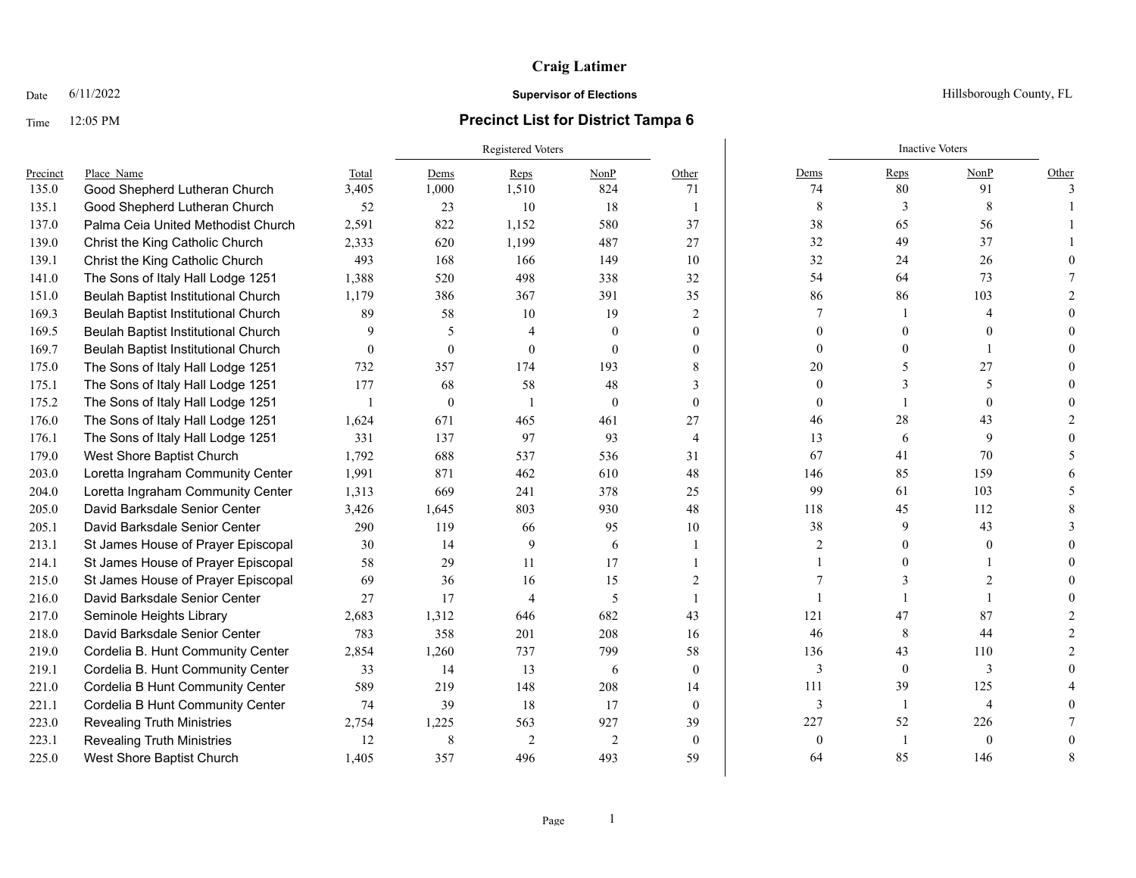## **Craig Latimer**

## Time 12:05 PM **Precinct List for District Tampa 6**

# Registered Voters **Inactive Voters** Inactive Voters **Inactive Voters** Precinct Place\_Name Total Dems Reps NonP Other Dems Reps NonP Other 135.0 Good Shepherd Lutheran Church 3.405 1.000 1.510 824 71 74 80 91 3 135.1 Good Shepherd Lutheran Church 52 23 10 18 1 8 3 3 8 1 137.0 Palma Ceia United Methodist Church 2.591 822 1,152 580 37 38 65 56 1 139.0 Christ the King Catholic Church 2,333 620 1,199 487 27 32 49 37 1 139.1 Christ the King Catholic Church 493 168 166 149 10 32 24 26 0 141.0 The Sons of Italy Hall Lodge 1251 1,388 520 498 338 32 54 54 54 73 7 151.0 Beulah Baptist Institutional Church 1,179 386 367 391 35 86 86 103 2 169.3 Beulah Baptist Institutional Church 89 58 10 19 2 7 1 4 0 169.5 Beulah Baptist Institutional Church 9 5 4 0 0 0 0 0 0 169.7 Beulah Baptist Institutional Church 0 0 0 0 0 0 0 0 0 0 0 1 0 0 1 0 0 0 1 0 0 1 0 0 0 1 0 0 0 1 0 0 0 1 0 175.0 The Sons of Italy Hall Lodge 1251 732 357 174 193 8 20 5 27 0 175.1 The Sons of Italy Hall Lodge 1251 177 68 58 48 3 0 3 0 3 5 0 175.2 The Sons of Italy Hall Lodge 1251 1 0 1 0 0 0 1 0 0 176.0 The Sons of Italy Hall Lodge 1251 1,624 671 465 461 27 46 46 28 43 2 176.1 The Sons of Italy Hall Lodge 1251 331 137 97 93 4 13 6 9 0 179.0 West Shore Baptist Church 1,792 688 537 536 31 67 41 70 5 203.0 Loretta Ingraham Community Center 1,991 871 462 610 48 146 85 159 6 204.0 Loretta Ingraham Community Center 1,313 669 241 378 25 99 61 103 5 205.0 David Barksdale Senior Center 3,426 1,645 803 930 48 118 45 112 8 205.1 David Barksdale Senior Center 290 119 66 95 10 38 9 43 3 213.1 St James House of Prayer Episcopal 30 14 9 6 1 2 0 0 0 214.1 St James House of Prayer Episcopal 58 29 11 17 1 1 17 1 1 0 1 0 215.0 St James House of Prayer Episcopal 69 36 16 15 2 7 3 2 0 216.0 David Barksdale Senior Center 27 17 4 5 1 1 1 1 1 1 0 217.0 Seminole Heights Library 2,683 1,312 646 682 43 121 47 87 2 218.0 David Barksdale Senior Center 783 358 201 208 16 46 8 44 2 219.0 Cordelia B. Hunt Community Center 2,854 1,260 737 799 58 136 43 110 2 219.1 Cordelia B. Hunt Community Center 33 14 13 6 0 3 0 3 0 221.0 Cordelia B Hunt Community Center 589 219 148 208 14 11 39 125 4 221.1 Cordelia B Hunt Community Center 74 39 18 17 0 3 1 4 0 223.0 Revealing Truth Ministries 2,754 1,225 563 927 39 227 52 226 7 223.1 Revealing Truth Ministries  $\begin{array}{cccccccc}\n12 & 8 & 2 & 2 & 0 & 0 & 1 & 0 & 0 \\
1 & 8 & 2 & 2 & 0 & 0 & 1 & 0\n\end{array}$ 225.0 West Shore Baptist Church 1.405 357 496 493 59 64 85 146 8

Date 6/11/2022 **Supervisor of Elections Supervisor of Elections** Hillsborough County, FL